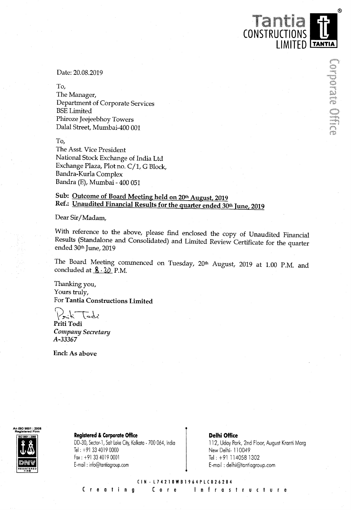Date: 20.08.2019

To,

The Manager, Department of Corporate Services BSE Limited Phiroze Jeejeebhoy Towers Dalal Street, Mumbai—400 001

To,

The Asst. Vice President National Stock Exchange of India Ltd Exchange Plaza, Plot no. <sup>C</sup>/1, <sup>G</sup> Block, Bandra-Kurla Complex Bandra (E), Mumbai - 400 051

## Sub: Outcome of Board Meeting held on 20th August, <sup>2019</sup> Ref.: Unaudited Financial Results for the quarter ended 30th June, 2019

Dear Sir/Madam,

With reference to the above, please find enclosed the copy of Unaudited Financial Results (Standalone and Consolidated) and Limited Review Certificate for the quarter ended 30<sup>th</sup> June, 2019

The Board Meeting commenced on Tuesday, 20th August, 2019 at 1.00 P.M. and concluded at  $8.30$  P.M.

Thanking you, Yours truly, For Tantia Constructions Limited

Arik Todi<br>Priti Todi

Company Secretary A-33367

End: As above

# An ISO 9001 : 2008

**Registered & Corporate Office**<br>
DD-30, Sector-1, Salt Lake City, Kolkata - 700 064, India 112, Uday Par

DD-30, Sector-1, Salt Lake City, Kolkata - 700 064, India 112, Uday Park, 2nd Floor, August Kranti Marg i<br>Tel: +91 33 4019 0000 New Delhi- 110049<br>Tel: +91 114058 1302 Fax: +91 33 40190001 Tel: +91 1140581302 E-mail: info@tantiagroup.com

112, Uday Park, 2nd Floor, August Kranti Marg E-mail: delhi@tantiagroup.com

CONSTRUCTIONS

LIMITED TANTIA

 $^{\circ}$ 

Dig oraș digit

CIN-L74210WBl964PLC026284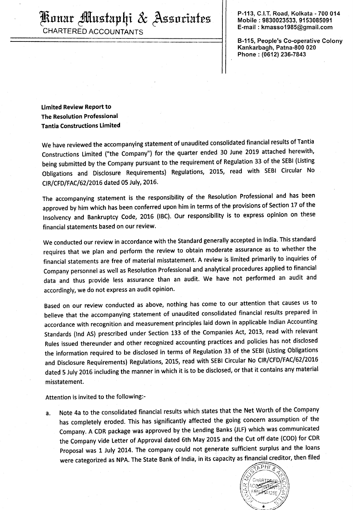$\left\{\mathbb{R}\right\}$ unar  $\mathbb{R}$ lustaphi  $\mathcal{X}$   $\mathbb{A}$ ssuriates  $\left\|\ \text{no} \atop \text{Bobile}: 9830023533, 9153085091}\right\|$ 

CHARTERED ACCOUNTANTS

E-mail. kmasso1985@gmail. com

B-115, People's Co-operative Colony Kankarbagh, Patna-800 020 Phone : (0612) 236-7843

Limited Review Report to The Resolution Professional Tantia Constructions Limited

We have reviewed the accompanying statement of unaudited consolidated financial results of Tantia Constructions Limited ("the Company") for the quarter ended <sup>30</sup> June <sup>2019</sup> attached herewith, being submitted by the Company pursuant to the requirement of Regulation <sup>33</sup> of the SEBI (Listing Obligations and Disclosure Requirements) Regulations, 2015, read with SEBI Circular No CIR/CFD/FAC/62/2016 dated 05 July, 2016.

The accompanying statement is the responsibility of the Resolution Professional and has been approved by him which has been conferred upon him in terms of the provisions of Section 17 of the Insolvency and Bankruptcy Code, <sup>2016</sup> (IBC). Our responsibility is to express opinion on these financial statements based on our review.

We conducted our review in accordance with the Standard generally accepted in India. This standard requires that we plan and perform the review to obtain moderate assurance as to whether the financial statements are free of material misstatement. <sup>A</sup> review is limited primarily to inquiries of Company personnel as well as Resolution Professional and analytical procedures applied to financial data and thus provide less assurance than an audit. We have not performed an audit and accordingly, we do not express an audit opinion.

Based on our review conducted as above, nothing has come to our attention that causes us to believe that the accompanying statement of unaudited consolidated financial results prepared in accordance with recognition and measurement principles laid down in applicable Indian Accounting Standards (Ind AS) prescribed under Section <sup>133</sup> of the Companies Act, 2013, read with relevant Rules issued thereunder and other recognized accounting practices and policies has not disclosed the information required to be disclosed in terms of Regulation <sup>33</sup> of the SEBI (Listing Obligations and Disclosure Requirements) Regulations, 2015, read with SEBI Circular No ClR/CFD/FAC/02/2016 dated <sup>5</sup> July <sup>2016</sup> including the manner in which it is to be disclosed, or that it contains any material misstatement.

Attention is invited to the following:-

a. Note 4a to the consolidated financial results which states that the Net Worth of the Company has completely eroded. This has significantly affected the going concern assumption of the Company. <sup>A</sup> CDR package was approved by the Lending Banks (JLF) which was communicated the Company vide Letter of Approval dated 6th May <sup>2015</sup> and the Cut off date (COD) for CDR Proposal was 1 July 2014. The company could not generate sufficient surplus and the loans were categorized as NPA. The State Bank of India, in its capacity as financial creditor, then filed were categorized as NPA. The State Bank of India, in its capacity as financial creditor, then filed

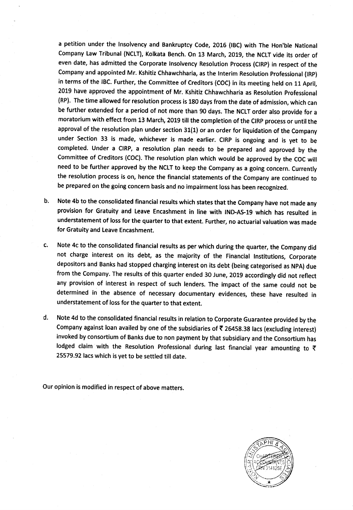<sup>a</sup> petition under the Insolvency and Bankruptcy Code, 2016 (IBC) with The Hon'ble National Company Law Tribunal (NCLT), Kolkata Bench. On <sup>13</sup> March, 2019, the NCLT vide its order of even date, has admitted the Corporate Insolvency Resolution Process (CIRP) in respect of the Company and appointed Mr. Kshitiz Chhawchharia, as the Interim Resolution Professional (lRP) in terms of the IBC. Further, the Committee of Creditors (CDC) in its meeting held on <sup>11</sup> April, 2019 have approved the appointment of Mr. Kshitiz Chhawchharia as Resolution Professional (RP). The time allowed for resolution process is <sup>180</sup> days from the date of admission, which can be further extended for <sup>a</sup> period of not more than <sup>90</sup> days. The NCLT order also provide for <sup>a</sup> moratorium with effect from <sup>13</sup> March, <sup>2019</sup> till the completion of the CIRP process or until the approval of the resolution plan under section 31(1) or an order for liquidation of the Company under Section <sup>33</sup> is made, whichever is made earlier. CIRP is ongoing and is yet to be completed. Under <sup>a</sup> CIRP, <sup>a</sup> resolution plan needs to be prepared and approved by the Committee of Creditors (COC). The resolution plan which would be approved by the COC will need to be further approved by the NCLT to keep the Company as <sup>a</sup> going concern. Currently the resolution process is on, hence the financial statements of the Company are continued to be prepared on the going concern basis and no impairment loss has been recognized.

- b. Note 4b to the consolidated financial results which states that the Company have not made any provision for Gratuity and Leave Encashment in line with lND-AS-19 which has resulted in understatement of loss for the quarter to that extent. Further, no actuarial valuation was made for Gratuity and Leave Encashment.
- c. Note 4c to the consolidated financial results as per which during the quarter, the Company did not charge interest on its debt, as the majority of the Financial Institutions, Corporate depositors and Banks had stopped charging interest on its debt (being categorised as NPA) due from the Company. The results of this quarter ended <sup>30</sup> June, <sup>2019</sup> accordingly did not reflect any provision of interest in respect of such lenders. The impact of the same could not be determined in the absence of necessary documentary evidences, these have resulted in understatement of loss for the quarter to that extent.
- d. Note 4d to the consolidated financial results in relation to Corporate Guarantee provided by the Company against loan availed by one of the subsidiaries of  $\bar{\tau}$  26458.38 lacs (excluding interest) invoked by consortium of Banks due to non payment by that subsidiary and the Consortium has lodged claim with the Resolution Professional during last financial year amounting to  $\bar{\tau}$ 25579.92 lacs which is yet to be settled till date.

Our opinion is modified in respect of above matters.

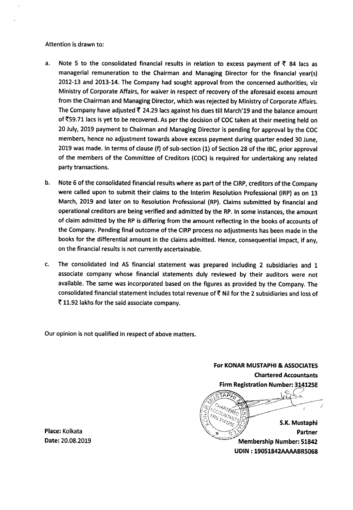### Attention is drawn to:

- a. Note 5 to the consolidated financial results in relation to excess payment of  $\bar{z}$  84 lacs as managerial remuneration to the Chairman and Managing Director for the financial year(s) 2012-13 and 2013-14. The Company had sought approval from the concerned authorities, viz Ministry of Corporate Affairs, for waiver in respect of recovery of the aforesaid excess amount from the Chairman and Managing Director, which was rejected by Ministry of Corporate Affairs. The Company have adjusted  $\overline{\zeta}$  24.29 lacs against his dues till March'19 and the balance amount of ?59.71 lacs is yet to be recovered. As per the decision of COC taken at their meeting held on <sup>20</sup> July, 2019 payment to Chairman and Managing Director is pending for approval by the COC members, hence no adjustment towards above excess payment during quarter ended 30 June, <sup>2019</sup> was made. In terms of clause (f) of sub-section (1) of Section <sup>28</sup> of the IBC, prior approval of the members of the Committee of Creditors (COC) is required for undertaking any related party transactions.
- b. Note <sup>6</sup> of the consolidated financial results where as part of the CIRP, creditors of the Company were called upon to submit their claims to the Interim Resolution Professional (IRP) as on <sup>13</sup> March, 2019 and later on to Resolution Professional (RP). Claims submitted by financial and operational creditors are being verified and admitted by the RP. In some instances, the amount of claim admitted by the RP is differing from the amount reflecting in the books of accounts of the Company. Pending final outcome of the CIRP process no adjustments has been made in the books for the differential amount in the claims admitted. Hence, consequential impact, if any, on the financial results is not currently ascertainable.
- c. The consolidated Ind AS financial statement was prepared including <sup>2</sup> subsidiaries and <sup>1</sup> associate company whose financial statements duly reviewed by their auditors were not available. The same was incorporated based on the figures as provided by the Company. The consolidated financial statement includes total revenue of  $\bar{\tau}$  Nil for the 2 subsidiaries and loss of ? 11.92 lakhs for the said associate company.

Our opinion is not qualified in respect of above matters.

For KONAR MUSTAPHI & ASSOCIATES Chartered Accountants Firm Registration Number: 314125E

কম **HARTERED** S.K. Mustaphi Place: Kolkata **switch and the control of the control of the switch of the control of the control of the control of the control of the control of the control of the control of the control of the control of the control of t** Membership Number: 51842 UDIN : 19051842AAAABR5068

Place: Kolkata<br>Date: 20.08.2019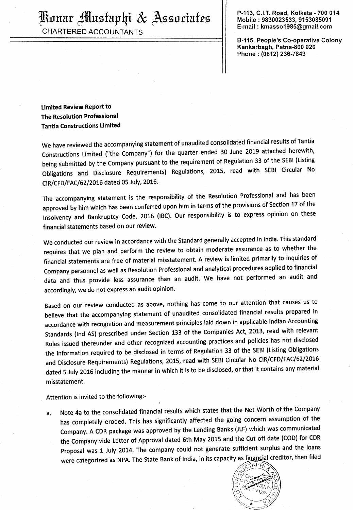CHARTERED ACCOUNTANTS

P-113, C.I.T. Road, Kolkata - 700 014<br>Mobile : 9830023533, 9153085091 E-mail : kmasso1985@gmail.com

8-115, People's Co-operative Colony Kankarbagh, Patna-800 020 Phone : (0612) 236-7843

Limited Review Report to The Resolution Professional Tantia Constructions Limited

We have reviewed the accompanying statement of unaudited consolidated financial results of Tantia Constructions Limited ("the Company") for the quarter ended <sup>30</sup> June <sup>2019</sup> attached herewith, being submitted by the Company pursuant to the requirement of Regulation <sup>33</sup> of the SEBI (Listing Obligations and Disclosure Requirements) Regulations, 2015, read with SEBI Circular No CIR/CFD/FAC/62/2016 dated <sup>05</sup> July, 2016.

The accompanying statement is the responsibility of the Resolution Professional and has been approved by him which has been conferred upon him in terms of the provisions of Section <sup>17</sup> of the Insolvency and Bankruptcy Code, <sup>2016</sup> (IBC). Our responsibility is to express opinion on these financial statements based on our review.

We conducted our review in accordance with the Standard generally accepted in India. This standard requires that we plan and perform the review to obtain moderate assurance as to whether the financial statements are free of material misstatement. <sup>A</sup> review is limited primarily to inquiries of Company personnel as well as Resolution Professional and analytical procedures applied to financial data and thus provide less assurance than an audit. We have not performed an audit and accordingly, we do not express an audit opinion.

Based on our review conducted as above, nothing has come to our attention that causes us to believe that the accompanying statement of unaudited consolidated financial results prepared in accordance with recognition and measurement principles laid down in applicable Indian Accounting Standards (Ind AS) prescribed under Section <sup>133</sup> of the Companies Act, 2013, read with relevant Rules issued thereunder and other recognized accounting practices and policies has not disclosed the information required to be disclosed in terms of Regulation <sup>33</sup> of the SEBI (Listing Obligations and Disclosure Requirements) Regulations, 2015, read with SEBI Circular No ClR/CFD/FAC/62/2016 dated <sup>5</sup> July <sup>2016</sup> including the manner in which it is to be disclosed, or that it contains any material misstatement.

Attention is invited to the following:-

a. Note 4a to the consolidated financial results which states that the Net Worth of the Company has completely eroded. This has significantly affected the going concern assumption of the Company. <sup>A</sup> CDR package was approved by the Lending Banks (JLF) which was communicated the Company vide Letter of Approval dated 6th May 2015 and the Cut off date (COD) for CDR Proposal was <sup>1</sup> July 2014. The company could not generate sufficient surplus and the loans were categorized as NPA. The State Bank of India, in its capacity as financial creditor, then filed

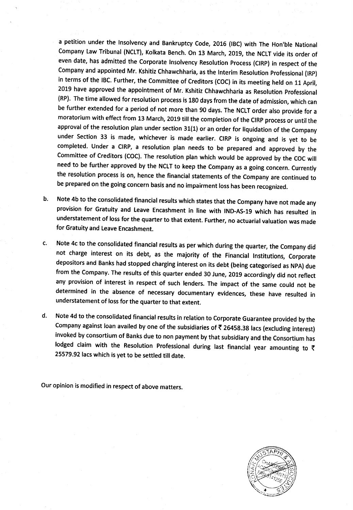<sup>a</sup> petition under the Insolvency and Bankruptcy Code, <sup>2016</sup> (lBC) with The Hon'ble National Company Law Tribunal (NCLT), Kolkata Bench. On <sup>13</sup> March, 2019, the NCLT vide its order of even date, has admitted the Corporate Insolvency Resolution Process (ClRP) in respect of the Company and appointed Mr. Kshitiz Chhawchharia, as the Interim Resolution Professional (IRP) in terms of the lBC. Further, the Committee of Creditors (CDC) in its meeting held on <sup>11</sup> April, <sup>2019</sup> have approved the appointment of Mr. Kshitiz Chhawchharia as Resolution Professional (RP). The time allowed for resolution process is <sup>180</sup> days from the date of admission, which can be further extended for <sup>a</sup> period of not more than <sup>90</sup> days. The NCLT order also provide for <sup>a</sup> moratorium with effect from <sup>13</sup> March, <sup>2019</sup> till the completion of the CIRP process or until the approval of the resolution plan under section 31(1) or an order for liquidation of the Company under Section <sup>33</sup> is made, whichever is made earlier. CIRP is ongoing and is yet to be completed. Under <sup>a</sup> CIRP, <sup>a</sup> resolution plan needs to be prepared and approved by the Committee of Creditors (COC). The resolution plan which would be approved by the COC will need to be further approved by the NCLT to keep the Company as <sup>a</sup> going concern. Currently the resolution process is on, hence the financial statements of the Company are continued to be prepared on the going concern basis and no impairment loss has been recognized.

- b. Note 4b to the consolidated financial results which states that the Company have not made any provision for Gratuity and Leave Encashment in line with IND-AS-19 which has resulted in understatement of loss for the quarter to that extent. Further, no actuarial valuation was made for Gratuity and Leave Encashment.
- c. Note 4c to the consolidated financial results as per which during the quarter, the Company did not charge interest on its debt, as the majority of the Financial Institutions, Corporate depositors and Banks had stopped charging interest on its debt (being categorised as NPA) due from the Company. The results of this quarter ended <sup>30</sup> June, <sup>2019</sup> accordingly did not reflect any provision of interest in respect of such lenders. The impact of the same could not be determined in the absence of necessary documentary evidences, these have resulted in understatement of loss for the quarter to that extent.
- d. Note 4d to the consolidated financial results in relation to Corporate Guarantee provided by the Company against loan availed by one of the subsidiaries of  $\bar{\tau}$  26458.38 lacs (excluding interest) invoked by consortium of Banks due to non payment by that subsidiary and the Consortium has lodged claim with the Resolution Professional during last financial year amounting to  $\bar{\tau}$ 25579.92 lacs which is yet to be settled till date.

Our opinion is modified in respect of above matters.

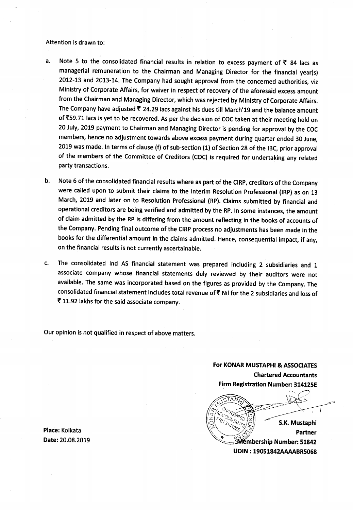### Attention is drawn to:

- a. Note 5 to the consolidated financial results in relation to excess payment of  $\bar{\tau}$  84 lacs as managerial remuneration to the Chairman and Managing Director for the financial year(s) 2012-13 and 2013-14. The Company had sought approval from the concerned authorities, viz Ministry of Corporate Affairs, for waiver in respect of recovery of the aforesaid excess amount from the Chairman and Managing Director, which was rejected by Ministry of Corporate Affairs. The Company have adjusted  $\bar{\tau}$  24.29 lacs against his dues till March'19 and the balance amount of  $\overline{5}$ 59.71 lacs is yet to be recovered. As per the decision of COC taken at their meeting held on <sup>20</sup> July, <sup>2019</sup> payment to Chairman and Managing Director is pending for approval by the COC members, hence no adjustment towards above excess payment during quarter ended <sup>30</sup> June, <sup>2019</sup> was made. In terms of clause (f) of sub-section (1) of Section <sup>28</sup> of the IBC, prior approval of the members of the Committee of Creditors (CDC) is required for undertaking any related party transactions.
- b. Note <sup>6</sup> of the consolidated financial results where as part of the CIRP, creditors of the Company were called upon to submit their claims to the Interim Resolution Professional (IRP) as on <sup>13</sup> March, <sup>2019</sup> and later on to Resolution Professional (RP). Claims submitted by financial and operational creditors are being verified and admitted by the RP. In some instances, the amount of claim admitted by the RP is differing from the amount reflecting in the books of accounts of the Company. Pending final outcome of the CIRP process no adjustments has been made in the books for the differential amount in the claims admitted. Hence, consequential impact, if any, on the financial results is not currently ascertainable.
- c. The consolidated Ind AS financial statement was prepared including <sup>2</sup> subsidiaries and <sup>1</sup> associate company whose financial statements duly reviewed by their auditors were not available. The same was incorporated based on the figures as provided by the Company. The consolidated financial statement includes total revenue of? Nil for the <sup>2</sup> subsidiaries and loss of ? 11.92 lakhs for the said associate company.

Our opinion is not qualified in respect of above matters.

For KONAR MUSTAPHI & ASSOCIATES Chartered Accountants Firm Registration Number: 314125E

S.K. Mustaphi **Place:** Kolkata Partner Date: 20.08.2019 sag/:fiébership Number: <sup>51842</sup> uom : 19051842AAAABR5068